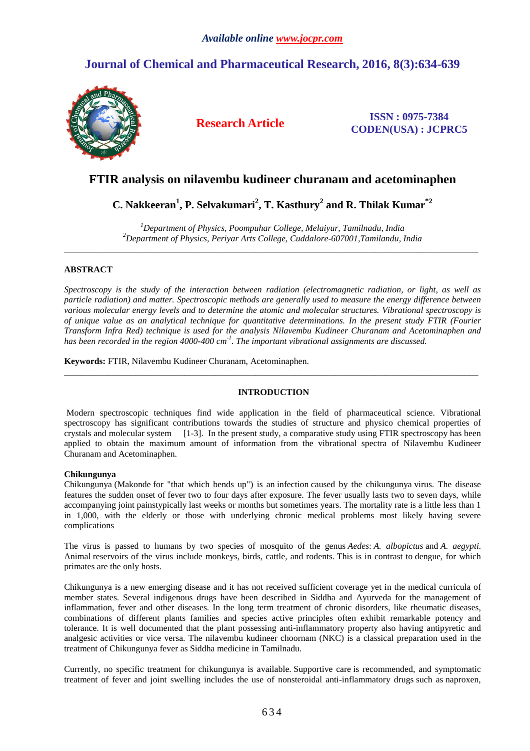# **Journal of Chemical and Pharmaceutical Research, 2016, 8(3):634-639**



**Research Article ISSN : 0975-7384 CODEN(USA) : JCPRC5**

## **FTIR analysis on nilavembu kudineer churanam and acetominaphen**

**C. Nakkeeran<sup>1</sup> , P. Selvakumari<sup>2</sup> , T. Kasthury<sup>2</sup> and R. Thilak Kumar\*2** 

*<sup>1</sup>Department of Physics, Poompuhar College, Melaiyur, Tamilnadu, India <sup>2</sup>Department of Physics, Periyar Arts College, Cuddalore-607001,Tamilandu, India*   $\overline{a}$  , and the contribution of the contribution of the contribution of the contribution of the contribution of the contribution of the contribution of the contribution of the contribution of the contribution of the co

## **ABSTRACT**

*Spectroscopy is the study of the interaction between radiation (electromagnetic radiation, or light, as well as particle radiation) and matter. Spectroscopic methods are generally used to measure the energy difference between various molecular energy levels and to determine the atomic and molecular structures. Vibrational spectroscopy is of unique value as an analytical technique for quantitative determinations. In the present study FTIR (Fourier Transform Infra Red) technique is used for the analysis Nilavembu Kudineer Churanam and Acetominaphen and has been recorded in the region 4000-400 cm-1. The important vibrational assignments are discussed.* 

**Keywords:** FTIR, Nilavembu Kudineer Churanam, Acetominaphen.

## **INTRODUCTION**

 $\overline{a}$  , and the contribution of the contribution of the contribution of the contribution of the contribution of the contribution of the contribution of the contribution of the contribution of the contribution of the co

 Modern spectroscopic techniques find wide application in the field of pharmaceutical science. Vibrational spectroscopy has significant contributions towards the studies of structure and physico chemical properties of crystals and molecular system [1-3]. In the present study, a comparative study using FTIR spectroscopy has been applied to obtain the maximum amount of information from the vibrational spectra of Nilavembu Kudineer Churanam and Acetominaphen.

## **Chikungunya**

Chikungunya (Makonde for "that which bends up") is an infection caused by the chikungunya virus. The disease features the sudden onset of fever two to four days after exposure. The fever usually lasts two to seven days, while accompanying joint painstypically last weeks or months but sometimes years. The mortality rate is a little less than 1 in 1,000, with the elderly or those with underlying chronic medical problems most likely having severe complications

The virus is passed to humans by two species of mosquito of the genus *Aedes*: *A. albopictus* and *A. aegypti*. Animal reservoirs of the virus include monkeys, birds, cattle, and rodents. This is in contrast to dengue, for which primates are the only hosts.

Chikungunya is a new emerging disease and it has not received sufficient coverage yet in the medical curricula of member states. Several indigenous drugs have been described in Siddha and Ayurveda for the management of inflammation, fever and other diseases. In the long term treatment of chronic disorders, like rheumatic diseases, combinations of different plants families and species active principles often exhibit remarkable potency and tolerance. It is well documented that the plant possessing anti-inflammatory property also having antipyretic and analgesic activities or vice versa. The nilavembu kudineer choornam (NKC) is a classical preparation used in the treatment of Chikungunya fever as Siddha medicine in Tamilnadu.

Currently, no specific treatment for chikungunya is available. Supportive care is recommended, and symptomatic treatment of fever and joint swelling includes the use of nonsteroidal anti-inflammatory drugs such as naproxen,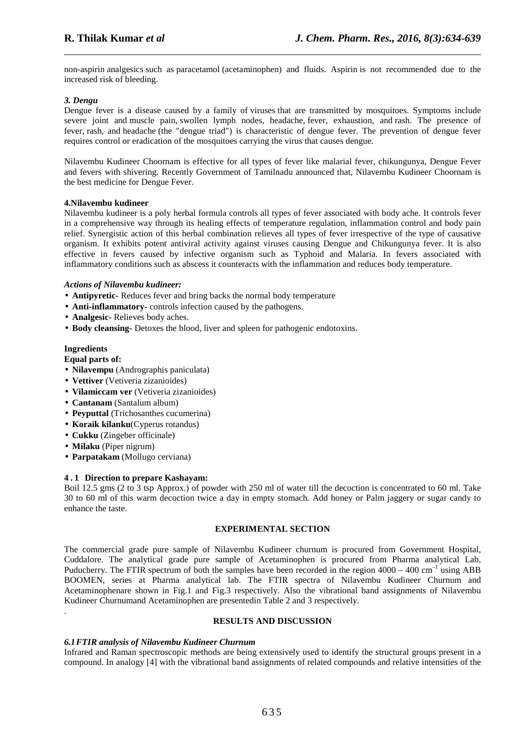non-aspirin analgesics such as paracetamol (acetaminophen) and fluids. Aspirin is not recommended due to the increased risk of bleeding.

\_\_\_\_\_\_\_\_\_\_\_\_\_\_\_\_\_\_\_\_\_\_\_\_\_\_\_\_\_\_\_\_\_\_\_\_\_\_\_\_\_\_\_\_\_\_\_\_\_\_\_\_\_\_\_\_\_\_\_\_\_\_\_\_\_\_\_\_\_\_\_\_\_\_\_\_\_\_

## *3. Dengu*

Dengue fever is a disease caused by a family of viruses that are transmitted by mosquitoes. Symptoms include severe joint and muscle pain, swollen lymph nodes, headache, fever, exhaustion, and rash. The presence of fever, rash, and headache (the "dengue triad") is characteristic of dengue fever. The prevention of dengue fever requires control or eradication of the mosquitoes carrying the virus that causes dengue.

Nilavembu Kudineer Choornam is effective for all types of fever like malarial fever, chikungunya, Dengue Fever and fevers with shivering. Recently Government of Tamilnadu announced that, Nilavembu Kudineer Choornam is the best medicine for Dengue Fever.

## **4.Nilavembu kudineer**

Nilavembu kudineer is a poly herbal formula controls all types of fever associated with body ache. It controls fever in a comprehensive way through its healing effects of temperature regulation, inflammation control and body pain relief. Synergistic action of this herbal combination relieves all types of fever irrespective of the type of causative organism. It exhibits potent antiviral activity against viruses causing Dengue and Chikungunya fever. It is also effective in fevers caused by infective organism such as Typhoid and Malaria. In fevers associated with inflammatory conditions such as abscess it counteracts with the inflammation and reduces body temperature.

#### *Actions of Nilavembu kudineer:*

- **Antipyretic-** Reduces fever and bring backs the normal body temperature
- **Anti-inflammatory-** controls infection caused by the pathogens.
- **Analgesic-** Relieves body aches.
- **Body cleansing-** Detoxes the blood, liver and spleen for pathogenic endotoxins.

## **Ingredients**

.

**Equal parts of:** 

- **Nilavempu** (Andrographis paniculata)
- **Vettiver** (Vetiveria zizanioides)
- **Vilamiccam ver** (Vetiveria zizanioides)
- **Cantanam** (Santalum album)
- **Peyputtal** (Trichosanthes cucumerina)
- **Koraik kilanku**(Cyperus rotandus)
- **Cukku** (Zingeber officinale)
- **Milaku** (Piper nigrum)
- **Parpatakam** (Mollugo cerviana)

## **4 . 1 Direction to prepare Kashayam:**

Boil 12.5 gms (2 to 3 tsp Approx.) of powder with 250 ml of water till the decoction is concentrated to 60 ml. Take 30 to 60 ml of this warm decoction twice a day in empty stomach. Add honey or Palm jaggery or sugar candy to enhance the taste.

## **EXPERIMENTAL SECTION**

The commercial grade pure sample of Nilavembu Kudineer churnum is procured from Government Hospital, Cuddalore. The analytical grade pure sample of Acetaminophen is procured from Pharma analytical Lab, Puducherry. The FTIR spectrum of both the samples have been recorded in the region  $4000 - 400$  cm<sup>-1</sup> using ABB BOOMEN, series at Pharma analytical lab. The FTIR spectra of Nilavembu Kudineer Churnum and Acetaminophenare shown in Fig.1 and Fig.3 respectively. Also the vibrational band assignments of Nilavembu Kudineer Churnumand Acetaminophen are presentedin Table 2 and 3 respectively.

## **RESULTS AND DISCUSSION**

## *6.1 FTIR analysis of Nilavembu Kudineer Churnum*

Infrared and Raman spectroscopic methods are being extensively used to identify the structural groups present in a compound. In analogy [4] with the vibrational band assignments of related compounds and relative intensities of the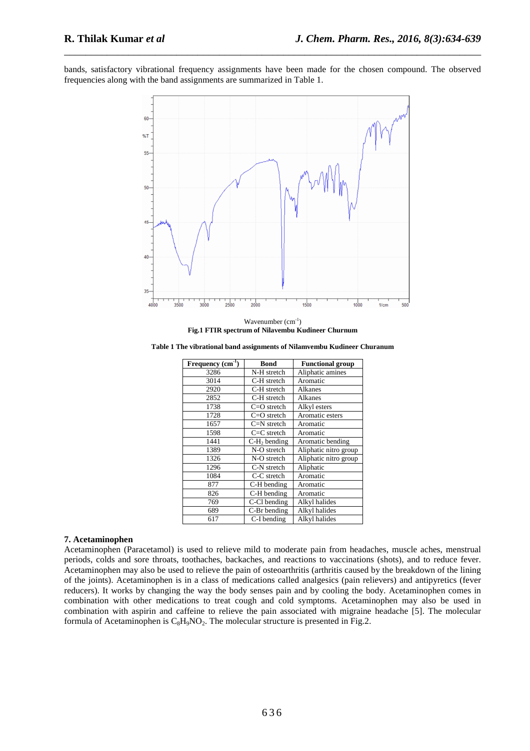bands, satisfactory vibrational frequency assignments have been made for the chosen compound. The observed frequencies along with the band assignments are summarized in Table 1.

\_\_\_\_\_\_\_\_\_\_\_\_\_\_\_\_\_\_\_\_\_\_\_\_\_\_\_\_\_\_\_\_\_\_\_\_\_\_\_\_\_\_\_\_\_\_\_\_\_\_\_\_\_\_\_\_\_\_\_\_\_\_\_\_\_\_\_\_\_\_\_\_\_\_\_\_\_\_



Wavenumber  $(cm^{-1})$ **Fig.1 FTIR spectrum of Nilavembu Kudineer Churnum** 

**Table 1 The vibrational band assignments of Nilamvembu Kudineer Churanum** 

| Frequency (cm <sup>-1</sup> ) | <b>Bond</b>     | <b>Functional group</b> |
|-------------------------------|-----------------|-------------------------|
| 3286                          | N-H stretch     | Aliphatic amines        |
| 3014                          | C-H stretch     | Aromatic                |
| 2920                          | C-H stretch     | Alkanes                 |
| 2852                          | C-H stretch     | Alkanes                 |
| 1738                          | $C = O$ stretch | Alkyl esters            |
| 1728                          | $C = O$ stretch | Aromatic esters         |
| 1657                          | $C=N$ stretch   | Aromatic                |
| 1598                          | $C=C$ stretch   | Aromatic                |
| 1441                          | $C-H2$ bending  | Aromatic bending        |
| 1389                          | N-O stretch     | Aliphatic nitro group   |
| 1326                          | N-O stretch     | Aliphatic nitro group   |
| 1296                          | C-N stretch     | Aliphatic               |
| 1084                          | C-C stretch     | Aromatic                |
| 877                           | C-H bending     | Aromatic                |
| 826                           | C-H bending     | Aromatic                |
| 769                           | C-Cl bending    | Alkyl halides           |
| 689                           | C-Br bending    | Alkyl halides           |
| 617                           | C-I bending     | Alkyl halides           |

#### **7. Acetaminophen**

Acetaminophen (Paracetamol) is used to relieve mild to moderate pain from headaches, muscle aches, menstrual periods, colds and sore throats, toothaches, backaches, and reactions to vaccinations (shots), and to reduce fever. Acetaminophen may also be used to relieve the pain of osteoarthritis (arthritis caused by the breakdown of the lining of the joints). Acetaminophen is in a class of medications called analgesics (pain relievers) and antipyretics (fever reducers). It works by changing the way the body senses pain and by cooling the body. Acetaminophen comes in combination with other medications to treat cough and cold symptoms. Acetaminophen may also be used in combination with aspirin and caffeine to relieve the pain associated with migraine headache [5]. The molecular formula of Acetaminophen is  $C_8H_9NO_2$ . The molecular structure is presented in Fig.2.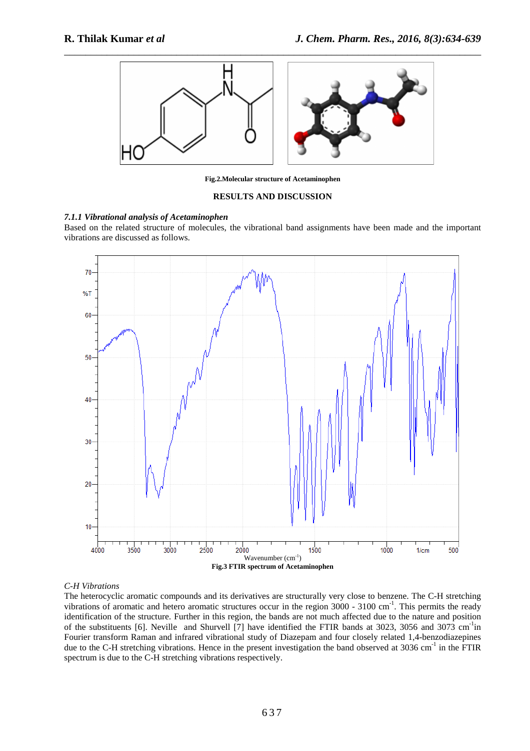

**Fig.2.Molecular structure of Acetaminophen** 

#### **RESULTS AND DISCUSSION**

#### *7.1.1 Vibrational analysis of Acetaminophen*

Based on the related structure of molecules, the vibrational band assignments have been made and the important vibrations are discussed as follows.



#### *C-H Vibrations*

The heterocyclic aromatic compounds and its derivatives are structurally very close to benzene. The C-H stretching vibrations of aromatic and hetero aromatic structures occur in the region 3000 - 3100 cm<sup>-1</sup>. This permits the ready identification of the structure. Further in this region, the bands are not much affected due to the nature and position of the substituents [6]. Neville and Shurvell [7] have identified the FTIR bands at 3023, 3056 and 3073 cm<sup>-1</sup>in Fourier transform Raman and infrared vibrational study of Diazepam and four closely related 1,4-benzodiazepines due to the C-H stretching vibrations. Hence in the present investigation the band observed at 3036 cm<sup>-1</sup> in the FTIR spectrum is due to the C-H stretching vibrations respectively.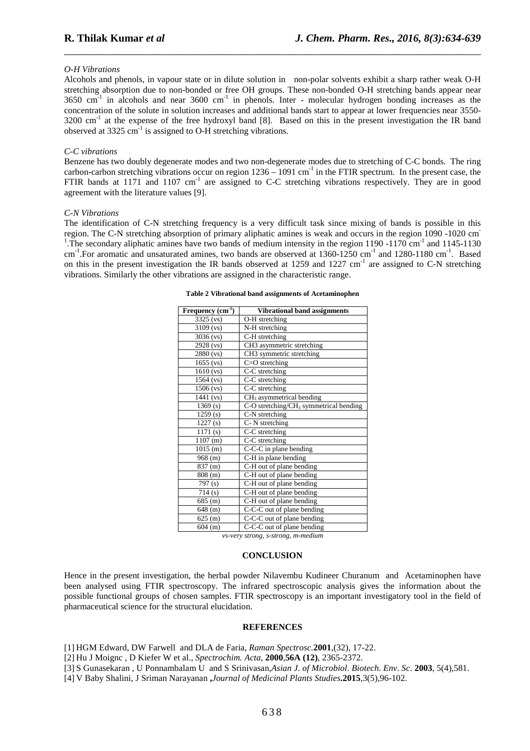#### *O-H Vibrations*

Alcohols and phenols, in vapour state or in dilute solution in non-polar solvents exhibit a sharp rather weak O-H stretching absorption due to non-bonded or free OH groups. These non-bonded O-H stretching bands appear near 3650 cm<sup>-1</sup> in alcohols and near 3600 cm<sup>-1</sup> in phenols. Inter - molecular hydrogen bonding increases as the concentration of the solute in solution increases and additional bands start to appear at lower frequencies near 3550-  $3200 \text{ cm}^{-1}$  at the expense of the free hydroxyl band [8]. Based on this in the present investigation the IR band observed at  $3325 \text{ cm}^{-1}$  is assigned to O-H stretching vibrations.

\_\_\_\_\_\_\_\_\_\_\_\_\_\_\_\_\_\_\_\_\_\_\_\_\_\_\_\_\_\_\_\_\_\_\_\_\_\_\_\_\_\_\_\_\_\_\_\_\_\_\_\_\_\_\_\_\_\_\_\_\_\_\_\_\_\_\_\_\_\_\_\_\_\_\_\_\_\_

#### *C-C vibrations*

Benzene has two doubly degenerate modes and two non-degenerate modes due to stretching of C-C bonds. The ring carbon-carbon stretching vibrations occur on region  $1236 - 1091$  cm<sup>-1</sup> in the FTIR spectrum. In the present case, the FTIR bands at 1171 and 1107  $cm^{-1}$  are assigned to C-C stretching vibrations respectively. They are in good agreement with the literature values [9].

#### *C-N Vibrations*

The identification of C-N stretching frequency is a very difficult task since mixing of bands is possible in this region. The C-N stretching absorption of primary aliphatic amines is weak and occurs in the region 1090 -1020 cm-<sup>1</sup>. The secondary aliphatic amines have two bands of medium intensity in the region 1190 -1170 cm<sup>-1</sup> and 1145-1130 cm-1.For aromatic and unsaturated amines, two bands are observed at 1360-1250 cm-1 and 1280-1180 cm-1. Based on this in the present investigation the IR bands observed at 1259 and 1227 cm<sup>-1</sup> are assigned to C-N stretching vibrations. Similarly the other vibrations are assigned in the characteristic range.

| Frequency $(cm-1)$ | <b>Vibrational band assignments</b>                |  |
|--------------------|----------------------------------------------------|--|
| 3325 (vs)          | O-H stretching                                     |  |
| $3109$ (vs)        | N-H stretching                                     |  |
| $3036$ (vs)        | C-H stretching                                     |  |
| 2928 (vs)          | CH3 asymmetric stretching                          |  |
| 2880 (vs)          | CH3 symmetric stretching                           |  |
| $1655$ (vs)        | $C = O$ stretching                                 |  |
| 1610(ys)           | C-C stretching                                     |  |
| $1564$ (vs)        | C-C stretching                                     |  |
| $1506$ (vs)        | C-C stretching                                     |  |
| 1441 (vs)          | $CH3$ asymmetrical bending                         |  |
| 1369(s)            | C-O stretching/CH <sub>3</sub> symmetrical bending |  |
| 1259(s)            | C-N stretching                                     |  |
| 1227(s)            | C-N stretching                                     |  |
| 1171(s)            | C-C stretching                                     |  |
| $1107$ (m)         | C-C stretching                                     |  |
| 1015(m)            | C-C-C in plane bending                             |  |
| 968(m)             | C-H in plane bending                               |  |
| 837(m)             | C-H out of plane bending                           |  |
| 808(m)             | C-H out of plane bending                           |  |
| 797(s)             | C-H out of plane bending                           |  |
| 714(s)             | C-H out of plane bending                           |  |
| 685(m)             | C-H out of plane bending                           |  |
| 648 (m)            | C-C-C out of plane bending                         |  |
| 625 (m)            | C-C-C out of plane bending                         |  |
| 604 (m)            | $\overline{C-C-C}$ out of plane bending            |  |

#### **Table 2 Vibrational band assignments of Acetaminophen**

*vs-very strong, s-strong, m-medium* 

#### **CONCLUSION**

Hence in the present investigation, the herbal powder Nilavembu Kudineer Churanum and Acetaminophen have been analysed using FTIR spectroscopy. The infrared spectroscopic analysis gives the information about the possible functional groups of chosen samples. FTIR spectroscopy is an important investigatory tool in the field of pharmaceutical science for the structural elucidation.

#### **REFERENCES**

[1] HGM Edward, DW Farwell and DLA de Faria, *Raman Spectrosc.***2001**,(32), 17-22.

[2] Hu J Moignc , D Kiefer W et al., *Spectrochim. Acta*, **2000**,**56A (12)**, 2365-2372.

[3] S Gunasekaran , U Ponnambalam U and S Srinivasan,*Asian J*. *of Microbiol*. *Biotech*. *Env*. *Sc*. **2003**, 5(4),581.

[4] V Baby Shalini, J Sriman Narayanan **,***Journal of Medicinal Plants Studies***.2015**,3(5),96-102.